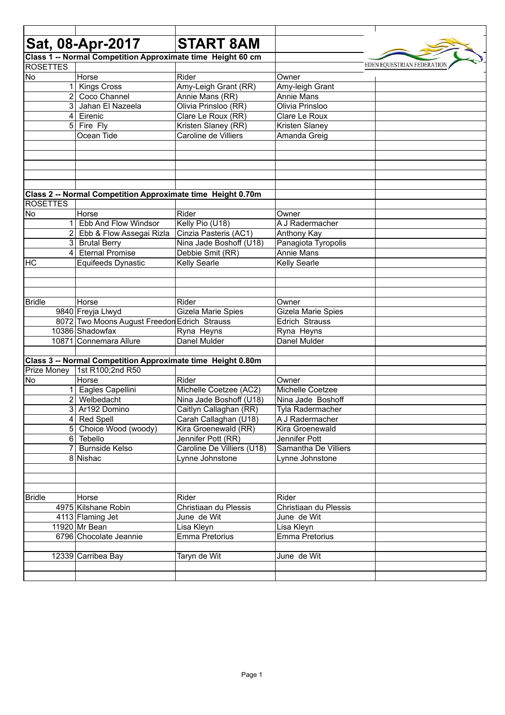|                 |                | Sat, 08-Apr-2017                                            | <b>START 8AM</b>           |                       |                            |
|-----------------|----------------|-------------------------------------------------------------|----------------------------|-----------------------|----------------------------|
|                 |                |                                                             |                            |                       |                            |
| <b>ROSETTES</b> |                | Class 1 -- Normal Competition Approximate time Height 60 cm |                            |                       | EDEN EQUESTRIAN FEDERATION |
| No              |                | Horse                                                       | Rider                      | Owner                 |                            |
|                 | $\mathbf 1$    | <b>Kings Cross</b>                                          | Amy-Leigh Grant (RR)       | Amy-leigh Grant       |                            |
|                 | $\overline{2}$ | Coco Channel                                                | Annie Mans (RR)            | Annie Mans            |                            |
|                 |                | 3 Jahan El Nazeela                                          | Olivia Prinsloo (RR)       | Olivia Prinsloo       |                            |
|                 |                | 4 Eirenic                                                   | Clare Le Roux (RR)         | Clare Le Roux         |                            |
|                 | 51             | Fire Fly                                                    | Kristen Slaney (RR)        | <b>Kristen Slaney</b> |                            |
|                 |                | Ocean Tide                                                  | Caroline de Villiers       | Amanda Greig          |                            |
|                 |                |                                                             |                            |                       |                            |
|                 |                |                                                             |                            |                       |                            |
|                 |                |                                                             |                            |                       |                            |
|                 |                |                                                             |                            |                       |                            |
|                 |                |                                                             |                            |                       |                            |
|                 |                | Class 2 -- Normal Competition Approximate time Height 0.70m |                            |                       |                            |
| <b>ROSETTES</b> |                |                                                             |                            |                       |                            |
| No              |                | Horse                                                       | Rider                      | Owner                 |                            |
|                 | 1 <sup>1</sup> | Ebb And Flow Windsor                                        | Kelly Pio (U18)            | A J Radermacher       |                            |
|                 |                | 2 Ebb & Flow Assegai Rizla                                  | Cinzia Pasteris (AC1)      | Anthony Kay           |                            |
|                 |                | 3 Brutal Berry                                              | Nina Jade Boshoff (U18)    | Panagiota Tyropolis   |                            |
|                 | 4              | <b>Eternal Promise</b>                                      | Debbie Smit (RR)           | <b>Annie Mans</b>     |                            |
| HC              |                | Equifeeds Dynastic                                          | <b>Kelly Searle</b>        | <b>Kelly Searle</b>   |                            |
|                 |                |                                                             |                            |                       |                            |
|                 |                |                                                             |                            |                       |                            |
|                 |                |                                                             |                            |                       |                            |
| <b>Bridle</b>   |                | Horse                                                       | Rider                      | Owner                 |                            |
|                 |                | 9840 Freyja Llwyd                                           | Gizela Marie Spies         | Gizela Marie Spies    |                            |
|                 |                | 8072 Two Moons August Freedon Edrich Strauss                |                            | Edrich Strauss        |                            |
|                 |                | 10386 Shadowfax                                             | Ryna Heyns<br>Danel Mulder | Ryna Heyns            |                            |
|                 |                | 10871 Connemara Allure                                      |                            | Danel Mulder          |                            |
|                 |                | Class 3 -- Normal Competition Approximate time Height 0.80m |                            |                       |                            |
| Prize Money     |                | 1st R100;2nd R50                                            |                            |                       |                            |
| <b>No</b>       |                | Horse                                                       | Rider                      | Owner                 |                            |
|                 | $\mathbf 1$    | Eagles Capellini                                            | Michelle Coetzee (AC2)     | Michelle Coetzee      |                            |
|                 |                | 2 Welbedacht                                                | Nina Jade Boshoff (U18)    | Nina Jade Boshoff     |                            |
|                 |                | 3 Ar192 Domino                                              | Caitlyn Callaghan (RR)     | Tyla Radermacher      |                            |
|                 |                | 4 Red Spell                                                 | Carah Callaghan (U18)      | A J Radermacher       |                            |
|                 |                | 5 Choice Wood (woody)                                       | Kira Groenewald (RR)       | Kira Groenewald       |                            |
|                 |                | 6 Tebello                                                   | Jennifer Pott (RR)         | Jennifer Pott         |                            |
|                 | 71             | <b>Burnside Kelso</b>                                       | Caroline De Villiers (U18) | Samantha De Villiers  |                            |
|                 |                | 8 Nishac                                                    | Lynne Johnstone            | Lynne Johnstone       |                            |
|                 |                |                                                             |                            |                       |                            |
|                 |                |                                                             |                            |                       |                            |
|                 |                |                                                             |                            |                       |                            |
| <b>Bridle</b>   |                | Horse                                                       | Rider                      | Rider                 |                            |
|                 |                | 4975 Kilshane Robin                                         | Christiaan du Plessis      | Christiaan du Plessis |                            |
|                 |                | 4113 Flaming Jet                                            | June de Wit                | June de Wit           |                            |
|                 |                | 11920 Mr Bean                                               | Lisa Kleyn                 | Lisa Kleyn            |                            |
|                 |                | 6796 Chocolate Jeannie                                      | Emma Pretorius             | Emma Pretorius        |                            |
|                 |                |                                                             |                            |                       |                            |
|                 |                | 12339 Carribea Bay                                          | Taryn de Wit               | June de Wit           |                            |
|                 |                |                                                             |                            |                       |                            |
|                 |                |                                                             |                            |                       |                            |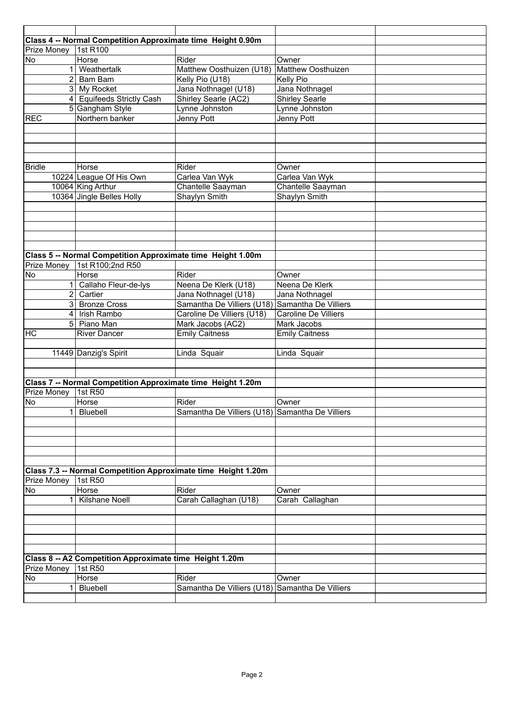|                    | Class 4 -- Normal Competition Approximate time Height 0.90m   |                                                 |                             |  |
|--------------------|---------------------------------------------------------------|-------------------------------------------------|-----------------------------|--|
| Prize Money        | 1st R100                                                      |                                                 |                             |  |
| No                 | Horse                                                         | Rider                                           | Owner                       |  |
| 1                  | Weathertalk                                                   | Matthew Oosthuizen (U18)                        | Matthew Oosthuizen          |  |
| $\overline{2}$     | Bam Bam                                                       | Kelly Pio (U18)                                 | Kelly Pio                   |  |
|                    | 3 My Rocket                                                   | Jana Nothnagel (U18)                            | Jana Nothnagel              |  |
|                    | 4 Equifeeds Strictly Cash                                     | Shirley Searle (AC2)                            | <b>Shirley Searle</b>       |  |
|                    | 5 Gangham Style                                               | Lynne Johnston                                  | Lynne Johnston              |  |
| <b>REC</b>         | Northern banker                                               | Jenny Pott                                      | Jenny Pott                  |  |
|                    |                                                               |                                                 |                             |  |
|                    |                                                               |                                                 |                             |  |
|                    |                                                               |                                                 |                             |  |
|                    |                                                               |                                                 |                             |  |
| <b>Bridle</b>      | Horse                                                         | Rider                                           | Owner                       |  |
|                    | 10224 League Of His Own                                       | Carlea Van Wyk                                  | Carlea Van Wyk              |  |
|                    | 10064 King Arthur                                             | Chantelle Saayman                               | Chantelle Saayman           |  |
|                    | 10364 Jingle Belles Holly                                     | Shaylyn Smith                                   | Shaylyn Smith               |  |
|                    |                                                               |                                                 |                             |  |
|                    |                                                               |                                                 |                             |  |
|                    |                                                               |                                                 |                             |  |
|                    |                                                               |                                                 |                             |  |
|                    |                                                               |                                                 |                             |  |
|                    | Class 5 -- Normal Competition Approximate time Height 1.00m   |                                                 |                             |  |
| Prize Money        | 1st R100;2nd R50                                              |                                                 |                             |  |
| No                 | Horse                                                         | Rider                                           | Owner                       |  |
|                    | Callaho Fleur-de-lys                                          | Neena De Klerk (U18)                            | Neena De Klerk              |  |
| 2                  | Cartier                                                       | Jana Nothnagel (U18)                            | Jana Nothnagel              |  |
|                    | 3 Bronze Cross                                                | Samantha De Villiers (U18) Samantha De Villiers |                             |  |
| 4                  | <b>Irish Rambo</b>                                            | Caroline De Villiers (U18)                      | <b>Caroline De Villiers</b> |  |
|                    | 5 Piano Man                                                   | Mark Jacobs (AC2)                               | Mark Jacobs                 |  |
| <b>HC</b>          | <b>River Dancer</b>                                           | <b>Emily Caitness</b>                           | <b>Emily Caitness</b>       |  |
|                    |                                                               |                                                 |                             |  |
|                    | 11449 Danzig's Spirit                                         | Linda Squair                                    | Linda Squair                |  |
|                    |                                                               |                                                 |                             |  |
|                    |                                                               |                                                 |                             |  |
|                    | Class 7 -- Normal Competition Approximate time Height 1.20m   |                                                 |                             |  |
| Prize Money        | 1st R50                                                       |                                                 |                             |  |
| NO                 | Horse                                                         | Rider                                           | Owner                       |  |
|                    | Bluebell                                                      | Samantha De Villiers (U18) Samantha De Villiers |                             |  |
|                    |                                                               |                                                 |                             |  |
|                    |                                                               |                                                 |                             |  |
|                    |                                                               |                                                 |                             |  |
|                    |                                                               |                                                 |                             |  |
|                    |                                                               |                                                 |                             |  |
|                    | Class 7.3 -- Normal Competition Approximate time Height 1.20m |                                                 |                             |  |
| Prize Money        | 1st R50                                                       |                                                 |                             |  |
| No                 | Horse                                                         | Rider                                           | Owner                       |  |
|                    | <b>Kilshane Noell</b>                                         | Carah Callaghan (U18)                           | Carah Callaghan             |  |
|                    |                                                               |                                                 |                             |  |
|                    |                                                               |                                                 |                             |  |
|                    |                                                               |                                                 |                             |  |
|                    |                                                               |                                                 |                             |  |
|                    |                                                               |                                                 |                             |  |
|                    | Class 8 -- A2 Competition Approximate time Height 1.20m       |                                                 |                             |  |
| <b>Prize Money</b> | <b>1st R50</b>                                                |                                                 |                             |  |
|                    |                                                               |                                                 |                             |  |
| No                 | Horse                                                         | Rider                                           | Owner                       |  |
| 1                  | Bluebell                                                      | Samantha De Villiers (U18)                      | Samantha De Villiers        |  |
|                    |                                                               |                                                 |                             |  |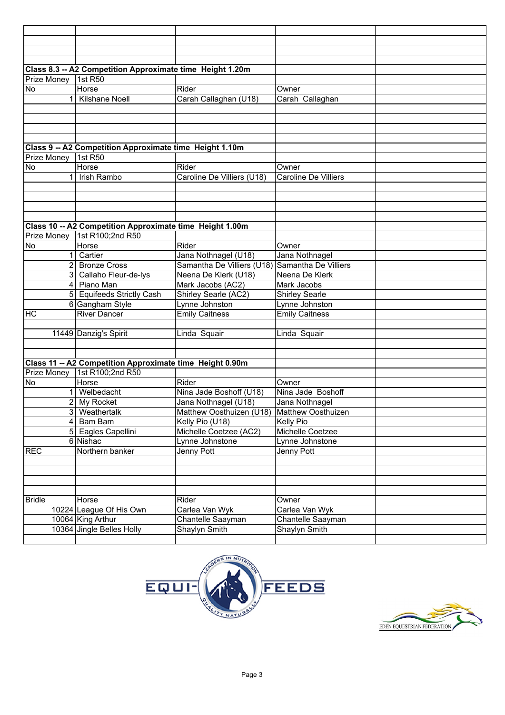|                | Class 8.3 -- A2 Competition Approximate time Height 1.20m |                            |                             |  |
|----------------|-----------------------------------------------------------|----------------------------|-----------------------------|--|
| Prize Money    | 1st R50                                                   |                            |                             |  |
| No             | Horse                                                     | Rider                      | Owner                       |  |
| 1 <sup>1</sup> | Kilshane Noell                                            | Carah Callaghan (U18)      | Carah Callaghan             |  |
|                |                                                           |                            |                             |  |
|                |                                                           |                            |                             |  |
|                |                                                           |                            |                             |  |
|                |                                                           |                            |                             |  |
|                |                                                           |                            |                             |  |
|                | Class 9 -- A2 Competition Approximate time Height 1.10m   |                            |                             |  |
| Prize Money    | 1st R50                                                   |                            |                             |  |
| <b>No</b>      | Horse                                                     | Rider                      | Owner                       |  |
| $\mathbf{1}$   | Irish Rambo                                               | Caroline De Villiers (U18) | <b>Caroline De Villiers</b> |  |
|                |                                                           |                            |                             |  |
|                |                                                           |                            |                             |  |
|                |                                                           |                            |                             |  |
|                |                                                           |                            |                             |  |
|                | Class 10 -- A2 Competition Approximate time Height 1.00m  |                            |                             |  |
| Prize Money    | 1st R100;2nd R50                                          |                            |                             |  |
| No             | Horse                                                     | Rider                      | Owner                       |  |
| 11             | Cartier                                                   | Jana Nothnagel (U18)       | Jana Nothnagel              |  |
| 2 <sub>1</sub> | <b>Bronze Cross</b>                                       | Samantha De Villiers (U18) | Samantha De Villiers        |  |
|                | 3 Callaho Fleur-de-lys                                    | Neena De Klerk (U18)       | Neena De Klerk              |  |
| $\overline{4}$ | Piano Man                                                 | Mark Jacobs (AC2)          | Mark Jacobs                 |  |
|                | 5 Equifeeds Strictly Cash                                 | Shirley Searle (AC2)       | <b>Shirley Searle</b>       |  |
|                | 6 Gangham Style                                           | Lynne Johnston             | Lynne Johnston              |  |
| <b>HC</b>      | <b>River Dancer</b>                                       | <b>Emily Caitness</b>      | <b>Emily Caitness</b>       |  |
|                |                                                           |                            |                             |  |
|                | 11449 Danzig's Spirit                                     | Linda Squair               | Linda Squair                |  |
|                |                                                           |                            |                             |  |
|                |                                                           |                            |                             |  |
|                |                                                           |                            |                             |  |
|                | Class 11 -- A2 Competition Approximate time Height 0.90m  |                            |                             |  |
| Prize Money    | 1st R100;2nd R50                                          |                            |                             |  |
| No             | Horse                                                     | Rider                      | Owner                       |  |
| 1 <sup>1</sup> | Welbedacht                                                | Nina Jade Boshoff (U18)    | Nina Jade Boshoff           |  |
| 2              | My Rocket                                                 | Jana Nothnagel (U18)       | Jana Nothnagel              |  |
|                | 3 Weathertalk                                             | Matthew Oosthuizen (U18)   | Matthew Oosthuizen          |  |
|                | 4 Bam Bam                                                 | Kelly Pio (U18)            | Kelly Pio                   |  |
|                | 5 Eagles Capellini                                        | Michelle Coetzee (AC2)     | Michelle Coetzee            |  |
|                | 6 Nishac                                                  | Lynne Johnstone            | Lynne Johnstone             |  |
| <b>REC</b>     | Northern banker                                           | Jenny Pott                 | Jenny Pott                  |  |
|                |                                                           |                            |                             |  |
|                |                                                           |                            |                             |  |
|                |                                                           |                            |                             |  |
|                |                                                           |                            |                             |  |
| <b>Bridle</b>  | Horse                                                     | Rider                      | Owner                       |  |
|                | 10224 League Of His Own                                   | Carlea Van Wyk             | Carlea Van Wyk              |  |
|                | 10064 King Arthur                                         | Chantelle Saayman          | Chantelle Saayman           |  |
|                | 10364 Jingle Belles Holly                                 | Shaylyn Smith              | Shaylyn Smith               |  |
|                |                                                           |                            |                             |  |



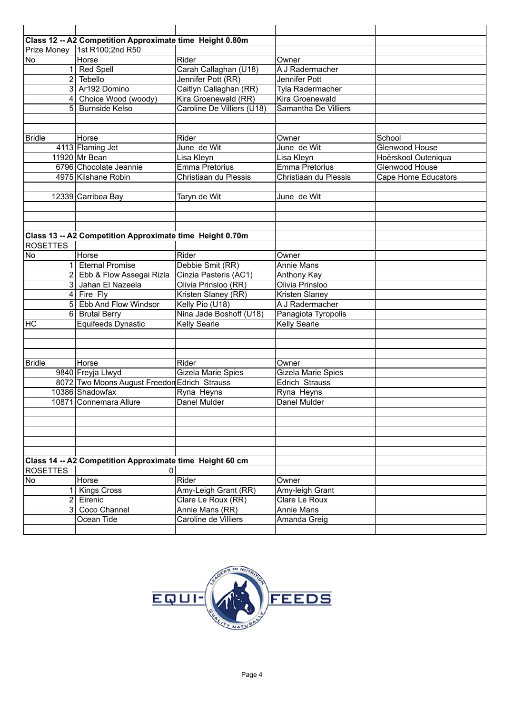|                 | Class 12 -- A2 Competition Approximate time Height 0.80m |                              |                              |                                              |
|-----------------|----------------------------------------------------------|------------------------------|------------------------------|----------------------------------------------|
|                 | Prize Money 1st R100;2nd R50                             |                              |                              |                                              |
| <b>No</b>       | Horse                                                    | Rider                        | Owner                        |                                              |
|                 | <b>Red Spell</b>                                         | Carah Callaghan (U18)        | A J Radermacher              |                                              |
| 2               | Tebello                                                  | Jennifer Pott (RR)           | Jennifer Pott                |                                              |
| 3 <sup>1</sup>  | Ar192 Domino                                             | Caitlyn Callaghan (RR)       | Tyla Radermacher             |                                              |
| $\overline{4}$  | Choice Wood (woody)                                      | Kira Groenewald (RR)         | Kira Groenewald              |                                              |
| 51              | <b>Burnside Kelso</b>                                    | Caroline De Villiers (U18)   | Samantha De Villiers         |                                              |
|                 |                                                          |                              |                              |                                              |
|                 |                                                          |                              |                              |                                              |
| <b>Bridle</b>   | Horse                                                    | Rider                        | Owner                        | School                                       |
|                 | 4113 Flaming Jet                                         | June de Wit                  | June de Wit                  | Glenwood House                               |
|                 | 11920 Mr Bean                                            |                              |                              |                                              |
|                 | 6796 Chocolate Jeannie                                   | Lisa Kleyn<br>Emma Pretorius | Lisa Kleyn<br>Emma Pretorius | Hoërskool Outeniqua<br><b>Glenwood House</b> |
|                 |                                                          |                              |                              |                                              |
|                 | 4975 Kilshane Robin                                      | Christiaan du Plessis        | Christiaan du Plessis        | <b>Cape Home Educators</b>                   |
|                 |                                                          |                              |                              |                                              |
|                 | 12339 Carribea Bay                                       | Taryn de Wit                 | June de Wit                  |                                              |
|                 |                                                          |                              |                              |                                              |
|                 |                                                          |                              |                              |                                              |
|                 |                                                          |                              |                              |                                              |
|                 | Class 13 -- A2 Competition Approximate time Height 0.70m |                              |                              |                                              |
| <b>ROSETTES</b> |                                                          |                              |                              |                                              |
| No              | Horse                                                    | Rider                        | Owner                        |                                              |
|                 | <b>Eternal Promise</b>                                   | Debbie Smit (RR)             | <b>Annie Mans</b>            |                                              |
|                 | Ebb & Flow Assegai Rizla                                 | Cinzia Pasteris (AC1)        | Anthony Kay                  |                                              |
| 3 <sup>1</sup>  | Jahan El Nazeela                                         | Olivia Prinsloo (RR)         | Olivia Prinsloo              |                                              |
| 4 <sup>1</sup>  | Fire Fly                                                 | Kristen Slaney (RR)          | Kristen Slaney               |                                              |
|                 | 5 Ebb And Flow Windsor                                   | Kelly Pio (U18)              | A J Radermacher              |                                              |
| $6 \mid$        | <b>Brutal Berry</b>                                      | Nina Jade Boshoff (U18)      | Panagiota Tyropolis          |                                              |
| HC              | Equifeeds Dynastic                                       | Kelly Searle                 | Kelly Searle                 |                                              |
|                 |                                                          |                              |                              |                                              |
|                 |                                                          |                              |                              |                                              |
|                 |                                                          |                              |                              |                                              |
| <b>Bridle</b>   | Horse                                                    | Rider                        | Owner                        |                                              |
|                 | 9840 Freyja Llwyd                                        | Gizela Marie Spies           | Gizela Marie Spies           |                                              |
|                 | 8072 Two Moons August Freedon Edrich Strauss             |                              | Edrich Strauss               |                                              |
|                 | 10386 Shadowfax                                          | Ryna Heyns                   | Ryna Heyns                   |                                              |
|                 | 10871 Connemara Allure                                   | Danel Mulder                 | Danel Mulder                 |                                              |
|                 |                                                          |                              |                              |                                              |
|                 |                                                          |                              |                              |                                              |
|                 |                                                          |                              |                              |                                              |
|                 |                                                          |                              |                              |                                              |
|                 |                                                          |                              |                              |                                              |
|                 | Class 14 -- A2 Competition Approximate time Height 60 cm |                              |                              |                                              |
| <b>ROSETTES</b> |                                                          |                              |                              |                                              |
| No              | Horse                                                    | Rider                        | Owner                        |                                              |
|                 | 1 Kings Cross                                            | Amy-Leigh Grant (RR)         | Amy-leigh Grant              |                                              |
|                 | 2 Eirenic                                                | Clare Le Roux (RR)           | Clare Le Roux                |                                              |
| 3 <sup>1</sup>  | Coco Channel                                             | Annie Mans (RR)              | Annie Mans                   |                                              |
|                 | Ocean Tide                                               | Caroline de Villiers         | Amanda Greig                 |                                              |
|                 |                                                          |                              |                              |                                              |

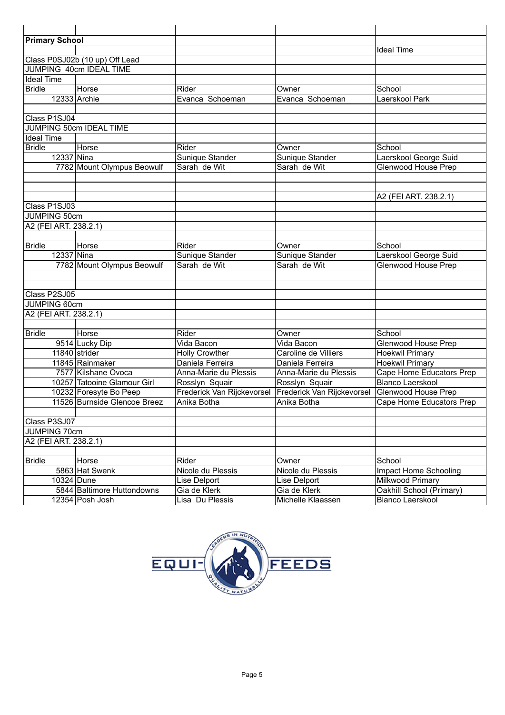| <b>Primary School</b> |                                |                            |                            |                            |
|-----------------------|--------------------------------|----------------------------|----------------------------|----------------------------|
|                       |                                |                            |                            | <b>Ideal Time</b>          |
|                       | Class P0SJ02b (10 up) Off Lead |                            |                            |                            |
|                       | JUMPING 40cm IDEAL TIME        |                            |                            |                            |
| <b>Ideal Time</b>     |                                |                            |                            |                            |
| <b>Bridle</b>         | Horse                          | Rider                      | Owner                      | School                     |
|                       | $\overline{12333}$ Archie      | Evanca Schoeman            | Evanca Schoeman            | Laerskool Park             |
|                       |                                |                            |                            |                            |
| Class P1SJ04          |                                |                            |                            |                            |
|                       | JUMPING 50cm IDEAL TIME        |                            |                            |                            |
| <b>Ideal Time</b>     |                                |                            |                            |                            |
| <b>Bridle</b>         | Horse                          | Rider                      | Owner                      | School                     |
| 12337 Nina            |                                | Sunique Stander            | Sunique Stander            | Laerskool George Suid      |
|                       | 7782 Mount Olympus Beowulf     | Sarah de Wit               | Sarah de Wit               | <b>Glenwood House Prep</b> |
|                       |                                |                            |                            |                            |
|                       |                                |                            |                            |                            |
|                       |                                |                            |                            | A2 (FEI ART. 238.2.1)      |
| Class P1SJ03          |                                |                            |                            |                            |
| JUMPING 50cm          |                                |                            |                            |                            |
| A2 (FEI ART. 238.2.1) |                                |                            |                            |                            |
|                       |                                |                            |                            |                            |
| <b>Bridle</b>         | Horse                          | Rider                      | Owner                      | School                     |
| 12337 Nina            |                                | Sunique Stander            | Sunique Stander            | Laerskool George Suid      |
|                       | 7782 Mount Olympus Beowulf     | Sarah de Wit               | Sarah de Wit               | Glenwood House Prep        |
|                       |                                |                            |                            |                            |
|                       |                                |                            |                            |                            |
| Class P2SJ05          |                                |                            |                            |                            |
| <b>JUMPING 60cm</b>   |                                |                            |                            |                            |
| A2 (FEI ART. 238.2.1) |                                |                            |                            |                            |
|                       |                                |                            |                            |                            |
| <b>Bridle</b>         | Horse                          | Rider                      | Owner                      | School                     |
|                       | 9514 Lucky Dip                 | Vida Bacon                 | Vida Bacon                 | Glenwood House Prep        |
|                       | 11840 strider                  | <b>Holly Crowther</b>      | Caroline de Villiers       | <b>Hoekwil Primary</b>     |
|                       | 11845 Rainmaker                | Daniela Ferreira           | Daniela Ferreira           | Hoekwil Primary            |
|                       | 7577 Kilshane Ovoca            | Anna-Marie du Plessis      | Anna-Marie du Plessis      | Cape Home Educators Prep   |
|                       | 10257 Tatooine Glamour Girl    | Rosslyn Squair             | Rosslyn Squair             | <b>Blanco Laerskool</b>    |
|                       | 10232 Foresyte Bo Peep         | Frederick Van Rijckevorsel | Frederick Van Rijckevorsel | Glenwood House Prep        |
|                       | 11526 Burnside Glencoe Breez   | Anika Botha                | Anika Botha                | Cape Home Educators Prep   |
|                       |                                |                            |                            |                            |
| Class P3SJ07          |                                |                            |                            |                            |
| JUMPING 70cm          |                                |                            |                            |                            |
| A2 (FEI ART. 238.2.1) |                                |                            |                            |                            |
|                       |                                |                            |                            |                            |
| <b>Bridle</b>         | Horse                          | Rider                      | Owner                      | School                     |
|                       | 5863 Hat Swenk                 | Nicole du Plessis          | Nicole du Plessis          | Impact Home Schooling      |
| 10324 Dune            |                                | Lise Delport               | Lise Delport               | Milkwood Primary           |
|                       | 5844 Baltimore Huttondowns     | Gia de Klerk               | Gia de Klerk               | Oakhill School (Primary)   |
|                       | 12354 Posh Josh                | Lisa Du Plessis            | Michelle Klaassen          | Blanco Laerskool           |

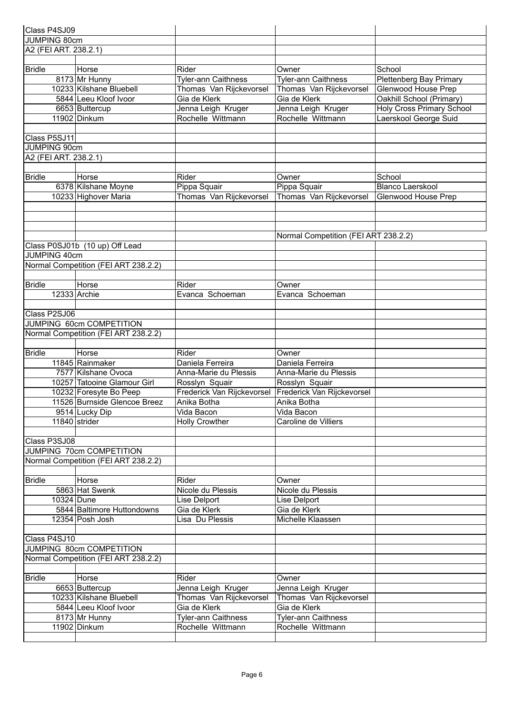| Class P4SJ09                         |                                      |                            |                                      |                                  |
|--------------------------------------|--------------------------------------|----------------------------|--------------------------------------|----------------------------------|
| JUMPING 80cm                         |                                      |                            |                                      |                                  |
| A2 (FEI ART. 238.2.1)                |                                      |                            |                                      |                                  |
|                                      |                                      |                            |                                      |                                  |
| <b>Bridle</b>                        | Horse                                | Rider                      | Owner                                | School                           |
|                                      | 8173 Mr Hunny                        | Tyler-ann Caithness        | Tyler-ann Caithness                  | Plettenberg Bay Primary          |
|                                      | 10233 Kilshane Bluebell              | Thomas Van Rijckevorsel    | Thomas Van Rijckevorsel              | Glenwood House Prep              |
|                                      | 5844 Leeu Kloof Ivoor                | Gia de Klerk               | Gia de Klerk                         | Oakhill School (Primary)         |
|                                      | 6653 Buttercup                       | Jenna Leigh Kruger         | Jenna Leigh Kruger                   | <b>Holy Cross Primary School</b> |
|                                      | 11902 Dinkum                         | Rochelle Wittmann          | Rochelle Wittmann                    | Laerskool George Suid            |
|                                      |                                      |                            |                                      |                                  |
| Class P5SJ11                         |                                      |                            |                                      |                                  |
| JUMPING 90cm                         |                                      |                            |                                      |                                  |
| A2 (FEI ART. 238.2.1)                |                                      |                            |                                      |                                  |
|                                      |                                      |                            |                                      |                                  |
| <b>Bridle</b>                        | Horse                                | Rider                      | Owner                                | School                           |
|                                      | 6378 Kilshane Moyne                  | Pippa Squair               | Pippa Squair                         | <b>Blanco Laerskool</b>          |
|                                      | 10233 Highover Maria                 | Thomas Van Rijckevorsel    | Thomas Van Rijckevorsel              | Glenwood House Prep              |
|                                      |                                      |                            |                                      |                                  |
|                                      |                                      |                            |                                      |                                  |
|                                      |                                      |                            |                                      |                                  |
|                                      |                                      |                            | Normal Competition (FEI ART 238.2.2) |                                  |
|                                      | Class P0SJ01b (10 up) Off Lead       |                            |                                      |                                  |
| JUMPING 40cm                         |                                      |                            |                                      |                                  |
|                                      | Normal Competition (FEI ART 238.2.2) |                            |                                      |                                  |
|                                      |                                      |                            |                                      |                                  |
| <b>Bridle</b>                        | Horse                                | Rider                      | Owner                                |                                  |
|                                      | 12333 Archie                         | Evanca Schoeman            | Evanca Schoeman                      |                                  |
|                                      |                                      |                            |                                      |                                  |
| Class P2SJ06                         |                                      |                            |                                      |                                  |
|                                      | JUMPING 60cm COMPETITION             |                            |                                      |                                  |
|                                      | Normal Competition (FEI ART 238.2.2) |                            |                                      |                                  |
|                                      |                                      |                            |                                      |                                  |
| <b>Bridle</b>                        | Horse                                | Rider                      | Owner                                |                                  |
|                                      | 11845 Rainmaker                      | Daniela Ferreira           | Daniela Ferreira                     |                                  |
|                                      | 7577 Kilshane Ovoca                  | Anna-Marie du Plessis      | Anna-Marie du Plessis                |                                  |
|                                      | 10257 Tatooine Glamour Girl          | Rosslyn Squair             | Rosslyn Squair                       |                                  |
|                                      | 10232 Foresyte Bo Peep               | Frederick Van Rijckevorsel | Frederick Van Rijckevorsel           |                                  |
|                                      | 11526 Burnside Glencoe Breez         |                            | Anika Botha                          |                                  |
|                                      |                                      | Anika Botha<br>Vida Bacon  |                                      |                                  |
|                                      | 9514 Lucky Dip<br>11840 strider      | <b>Holly Crowther</b>      | Vida Bacon<br>Caroline de Villiers   |                                  |
|                                      |                                      |                            |                                      |                                  |
|                                      |                                      |                            |                                      |                                  |
| Class P3SJ08                         |                                      |                            |                                      |                                  |
|                                      | JUMPING 70cm COMPETITION             |                            |                                      |                                  |
|                                      | Normal Competition (FEI ART 238.2.2) |                            |                                      |                                  |
|                                      |                                      |                            |                                      |                                  |
| <b>Bridle</b>                        | Horse                                | Rider                      | Owner                                |                                  |
|                                      | 5863 Hat Swenk                       | Nicole du Plessis          | Nicole du Plessis                    |                                  |
| 10324 Dune                           | 5844 Baltimore Huttondowns           | Lise Delport               | Lise Delport<br>Gia de Klerk         |                                  |
|                                      |                                      | Gia de Klerk               |                                      |                                  |
|                                      | 12354 Posh Josh                      | Lisa Du Plessis            | Michelle Klaassen                    |                                  |
|                                      |                                      |                            |                                      |                                  |
| Class P4SJ10                         |                                      |                            |                                      |                                  |
| JUMPING 80cm COMPETITION             |                                      |                            |                                      |                                  |
| Normal Competition (FEI ART 238.2.2) |                                      |                            |                                      |                                  |
|                                      |                                      |                            |                                      |                                  |
| <b>Bridle</b>                        | Horse                                | Rider                      | Owner                                |                                  |
|                                      | 6653 Buttercup                       | Jenna Leigh Kruger         | Jenna Leigh Kruger                   |                                  |
|                                      | 10233 Kilshane Bluebell              | Thomas Van Rijckevorsel    | Thomas Van Rijckevorsel              |                                  |
|                                      | 5844 Leeu Kloof Ivoor                | Gia de Klerk               | Gia de Klerk                         |                                  |
|                                      | 8173 Mr Hunny                        | <b>Tyler-ann Caithness</b> | <b>Tyler-ann Caithness</b>           |                                  |
|                                      | 11902 Dinkum                         | Rochelle Wittmann          | Rochelle Wittmann                    |                                  |
|                                      |                                      |                            |                                      |                                  |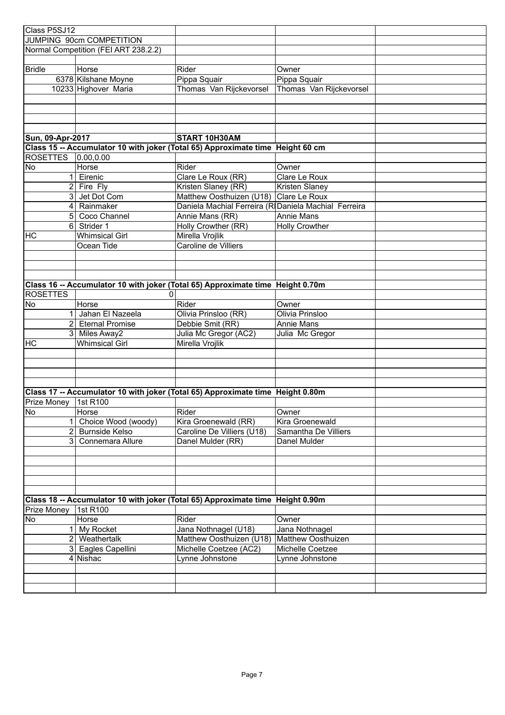| Class P5SJ12             |                                      |                                                                                |                           |  |
|--------------------------|--------------------------------------|--------------------------------------------------------------------------------|---------------------------|--|
| JUMPING 90cm COMPETITION |                                      |                                                                                |                           |  |
|                          | Normal Competition (FEI ART 238.2.2) |                                                                                |                           |  |
|                          |                                      |                                                                                |                           |  |
| <b>Bridle</b>            | Horse                                | Rider                                                                          | Owner                     |  |
|                          | 6378 Kilshane Moyne                  | Pippa Squair                                                                   | Pippa Squair              |  |
|                          | 10233 Highover Maria                 | Thomas Van Rijckevorsel                                                        | Thomas Van Rijckevorsel   |  |
|                          |                                      |                                                                                |                           |  |
|                          |                                      |                                                                                |                           |  |
|                          |                                      |                                                                                |                           |  |
|                          |                                      |                                                                                |                           |  |
| Sun, 09-Apr-2017         |                                      | START 10H30AM                                                                  |                           |  |
|                          |                                      | Class 15 -- Accumulator 10 with joker (Total 65) Approximate time Height 60 cm |                           |  |
| <b>ROSETTES</b>          | 0.00, 0.00                           |                                                                                |                           |  |
| No                       | Horse                                | Rider                                                                          | Owner                     |  |
| 1                        | Eirenic                              | Clare Le Roux (RR)                                                             | Clare Le Roux             |  |
| $\overline{2}$           | Fire Fly                             | Kristen Slaney (RR)                                                            | Kristen Slaney            |  |
| $\mathbf{3}$             | Jet Dot Com                          | Matthew Oosthuizen (U18)                                                       | Clare Le Roux             |  |
| $\vert$                  | Rainmaker                            | Daniela Machial Ferreira (RIDaniela Machial Ferreira                           |                           |  |
| 5 <sup>1</sup>           | Coco Channel                         | Annie Mans (RR)                                                                | Annie Mans                |  |
| 6 <sup>1</sup>           | Strider 1                            | Holly Crowther (RR)                                                            | <b>Holly Crowther</b>     |  |
| HC                       | <b>Whimsical Girl</b>                | Mirella Vrojlik                                                                |                           |  |
|                          | Ocean Tide                           | Caroline de Villiers                                                           |                           |  |
|                          |                                      |                                                                                |                           |  |
|                          |                                      |                                                                                |                           |  |
|                          |                                      |                                                                                |                           |  |
|                          |                                      | Class 16 -- Accumulator 10 with joker (Total 65) Approximate time Height 0.70m |                           |  |
| <b>ROSETTES</b>          |                                      |                                                                                |                           |  |
| No                       | Horse                                | Rider                                                                          | Owner                     |  |
|                          | Jahan El Nazeela                     | Olivia Prinsloo (RR)                                                           | Olivia Prinsloo           |  |
|                          | 2 Eternal Promise                    | Debbie Smit (RR)                                                               | Annie Mans                |  |
| 3 <sup>1</sup>           | Miles Away2                          | Julia Mc Gregor (AC2)                                                          | Julia Mc Gregor           |  |
| HC                       | <b>Whimsical Girl</b>                | Mirella Vrojlik                                                                |                           |  |
|                          |                                      |                                                                                |                           |  |
|                          |                                      |                                                                                |                           |  |
|                          |                                      |                                                                                |                           |  |
|                          |                                      |                                                                                |                           |  |
|                          |                                      | Class 17 -- Accumulator 10 with joker (Total 65) Approximate time Height 0.80m |                           |  |
| Prize Money 1st R100     |                                      |                                                                                |                           |  |
| No                       | Horse                                | Rider                                                                          | Owner                     |  |
|                          | Choice Wood (woody)                  | Kira Groenewald (RR)                                                           | Kira Groenewald           |  |
| 2                        | <b>Burnside Kelso</b>                | Caroline De Villiers (U18)                                                     | Samantha De Villiers      |  |
| 3                        | Connemara Allure                     | Danel Mulder (RR)                                                              | Danel Mulder              |  |
|                          |                                      |                                                                                |                           |  |
|                          |                                      |                                                                                |                           |  |
|                          |                                      |                                                                                |                           |  |
|                          |                                      |                                                                                |                           |  |
|                          |                                      |                                                                                |                           |  |
|                          |                                      | Class 18 -- Accumulator 10 with joker (Total 65) Approximate time Height 0.90m |                           |  |
| Prize Money              | 1st R100                             |                                                                                |                           |  |
| No                       | Horse                                | Rider                                                                          | Owner                     |  |
|                          | My Rocket                            | Jana Nothnagel (U18)                                                           | Jana Nothnagel            |  |
| $\overline{2}$           | Weathertalk                          | Matthew Oosthuizen (U18)                                                       | <b>Matthew Oosthuizen</b> |  |
| 3                        | Eagles Capellini                     | Michelle Coetzee (AC2)                                                         | Michelle Coetzee          |  |
|                          | 4 Nishac                             | Lynne Johnstone                                                                | Lynne Johnstone           |  |
|                          |                                      |                                                                                |                           |  |
|                          |                                      |                                                                                |                           |  |
|                          |                                      |                                                                                |                           |  |